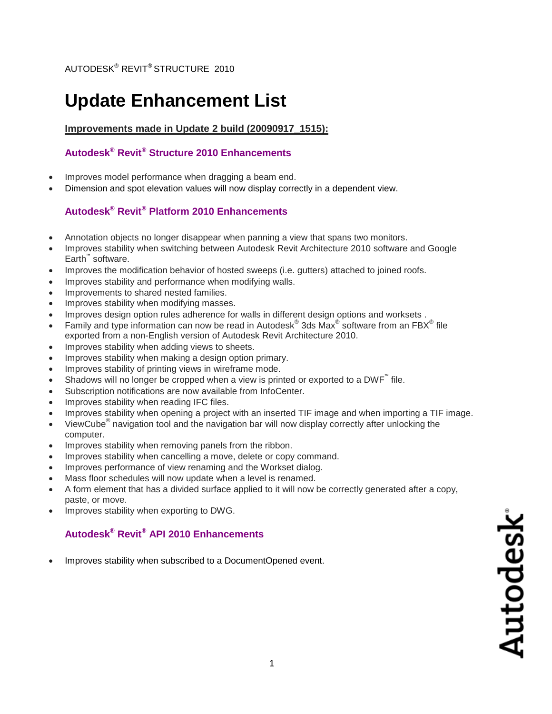# **Update Enhancement List**

### **Improvements made in Update 2 build (20090917\_1515):**

## **Autodesk® Revit® Structure 2010 Enhancements**

- Improves model performance when dragging a beam end.
- Dimension and spot elevation values will now display correctly in a dependent view.

## **Autodesk® Revit® Platform 2010 Enhancements**

- Annotation objects no longer disappear when panning a view that spans two monitors.
- Improves stability when switching between Autodesk Revit Architecture 2010 software and Google Earth™ software.
- Improves the modification behavior of hosted sweeps (i.e. gutters) attached to joined roofs.
- Improves stability and performance when modifying walls.
- Improvements to shared nested families.
- Improves stability when modifying masses.
- Improves design option rules adherence for walls in different design options and worksets .
- Family and type information can now be read in Autodesk® 3ds Max® software from an FBX® file exported from a non-English version of Autodesk Revit Architecture 2010.
- Improves stability when adding views to sheets.
- Improves stability when making a design option primary.
- Improves stability of printing views in wireframe mode.
- Shadows will no longer be cropped when a view is printed or exported to a DWF<sup>"</sup> file.
- Subscription notifications are now available from InfoCenter.
- Improves stability when reading IFC files.
- Improves stability when opening a project with an inserted TIF image and when importing a TIF image.
- $\bullet$  ViewCube<sup>®</sup> navigation tool and the navigation bar will now display correctly after unlocking the computer.
- Improves stability when removing panels from the ribbon.
- Improves stability when cancelling a move, delete or copy command.
- Improves performance of view renaming and the Workset dialog.
- Mass floor schedules will now update when a level is renamed.
- A form element that has a divided surface applied to it will now be correctly generated after a copy, paste, or move.
- Improves stability when exporting to DWG.

# **Autodesk® Revit® API 2010 Enhancements**

Improves stability when subscribed to a DocumentOpened event.

Autodesk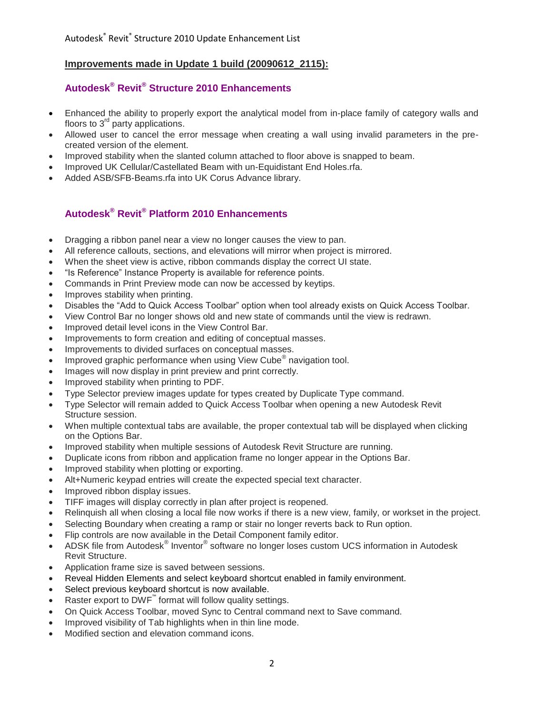#### **Improvements made in Update 1 build (20090612\_2115):**

# **Autodesk® Revit® Structure 2010 Enhancements**

- Enhanced the ability to properly export the analytical model from in-place family of category walls and floors to  $3<sup>rd</sup>$  party applications.
- Allowed user to cancel the error message when creating a wall using invalid parameters in the precreated version of the element.
- Improved stability when the slanted column attached to floor above is snapped to beam.
- Improved UK Cellular/Castellated Beam with un-Equidistant End Holes.rfa.
- Added ASB/SFB-Beams.rfa into UK Corus Advance library.

#### **Autodesk® Revit® Platform 2010 Enhancements**

- Dragging a ribbon panel near a view no longer causes the view to pan.
- All reference callouts, sections, and elevations will mirror when project is mirrored.
- When the sheet view is active, ribbon commands display the correct UI state.
- "Is Reference" Instance Property is available for reference points.
- Commands in Print Preview mode can now be accessed by keytips.
- Improves stability when printing.
- Disables the "Add to Quick Access Toolbar" option when tool already exists on Quick Access Toolbar.
- View Control Bar no longer shows old and new state of commands until the view is redrawn.
- Improved detail level icons in the View Control Bar.
- Improvements to form creation and editing of conceptual masses.
- Improvements to divided surfaces on conceptual masses.
- Improved graphic performance when using View Cube<sup>®</sup> navigation tool.
- Images will now display in print preview and print correctly.
- Improved stability when printing to PDF.
- Type Selector preview images update for types created by Duplicate Type command.
- Type Selector will remain added to Quick Access Toolbar when opening a new Autodesk Revit Structure session.
- When multiple contextual tabs are available, the proper contextual tab will be displayed when clicking on the Options Bar.
- Improved stability when multiple sessions of Autodesk Revit Structure are running.
- Duplicate icons from ribbon and application frame no longer appear in the Options Bar.
- Improved stability when plotting or exporting.
- Alt+Numeric keypad entries will create the expected special text character.
- Improved ribbon display issues.
- TIFF images will display correctly in plan after project is reopened.
- Relinquish all when closing a local file now works if there is a new view, family, or workset in the project.
- Selecting Boundary when creating a ramp or stair no longer reverts back to Run option.
- Flip controls are now available in the Detail Component family editor.
- ADSK file from Autodesk® Inventor® software no longer loses custom UCS information in Autodesk Revit Structure.
- Application frame size is saved between sessions.
- Reveal Hidden Elements and select keyboard shortcut enabled in family environment.
- Select previous keyboard shortcut is now available.
- Raster export to DWF<sup>™</sup> format will follow quality settings.
- On Quick Access Toolbar, moved Sync to Central command next to Save command.
- Improved visibility of Tab highlights when in thin line mode.
- Modified section and elevation command icons.